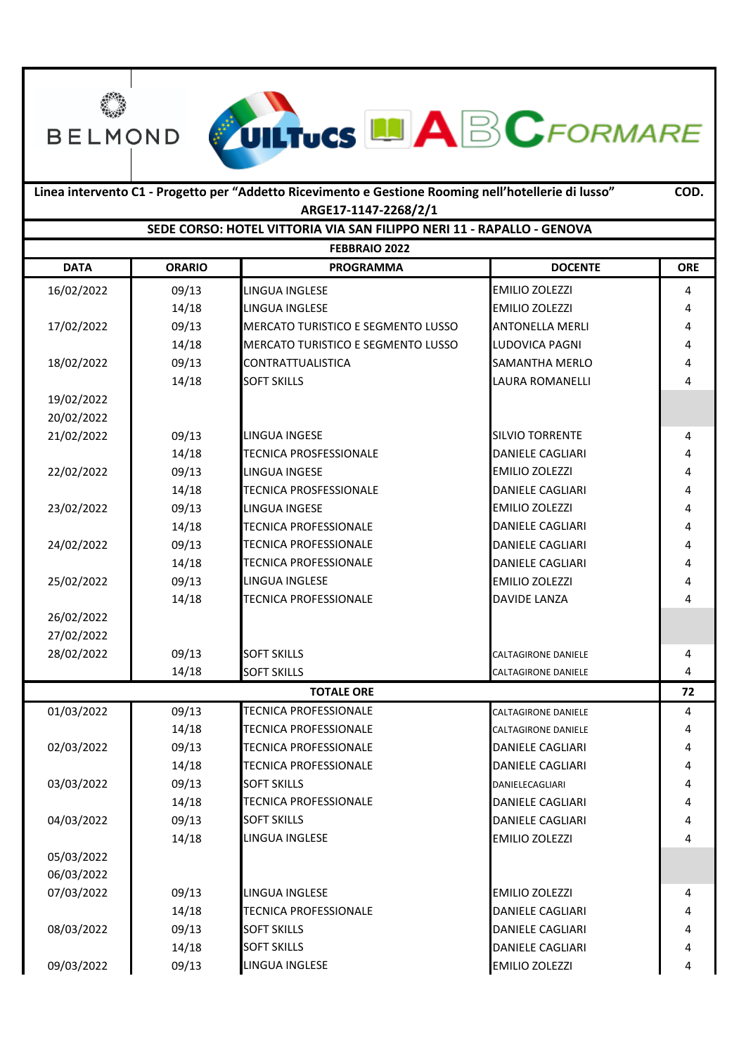**DATA ORARIO PROGRAMMA DOCENTE ORE** 16/02/2022 09/13 LINGUA INGLESE EMILIO ZOLEZZI 4 14/18 LINGUA INGLESE **EMILIO ZOLEZZI** 4 17/02/2022 09/13 MERCATO TURISTICO E SEGMENTO LUSSO ANTONELLA MERLI 4 14/18 MERCATO TURISTICO E SEGMENTO LUSSO LUDOVICA PAGNI 4 18/02/2022 09/13 CONTRATTUALISTICA SAMANTHA MERLO 4 14/18 SOFT SKILLS **SOFT SKILLS LAURA ROMANELLI** 4 19/02/2022 20/02/2022 21/02/2022 **0**9/13 LINGUA INGESE SILVIO TORRENTE 4 14/18 **TECNICA PROSFESSIONALE DANIELE CAGLIARI** 4 22/02/2022 | 09/13 LINGUA INGESE EMILIO ZOLEZZI 4 14/18 TECNICA PROSFESSIONALE DANIELE CAGLIARI 4 23/02/2022 | 09/13 LINGUA INGESE EMILIO ZOLEZZI | 4 14/18 TECNICA PROFESSIONALE DANIELE CAGLIARI 4 24/02/2022 09/13 TECNICA PROFESSIONALE DANIELE CAGLIARI 4 14/18 TECNICA PROFESSIONALE DANIELE CAGLIARI 4 25/02/2022 09/13 LINGUA INGLESE EMILIO ZOLEZZI 4 14/18 **TECNICA PROFESSIONALE DAVIDE LANZA** 4 26/02/2022 27/02/2022 28/02/2022 09/13 SOFT SKILLS CALTAGIRONE DANIELE 4 14/18 SOFT SKILLS **CALTAGIRONE DANIELE** 4 **72** 01/03/2022 09/13 TECNICA PROFESSIONALE CALTAGIRONE DANIELE 4 14/18 TECNICA PROFESSIONALE CALTAGIRONE DANIELE 4 02/03/2022 09/13 TECNICA PROFESSIONALE DANIELE CAGLIARI 4 14/18 TECNICA PROFESSIONALE **DANIELE CAGLIARI** 4 03/03/2022 | 09/13 SOFT SKILLS DANIELECAGLIARI | 4 14/18 TECNICA PROFESSIONALE DANIELE CAGLIARI 14/18 14 04/03/2022 09/13 SOFT SKILLS DANIELE CAGLIARI 4 14/18 LINGUA INGLESE **EMILIO ZOLEZZI** 4 05/03/2022 06/03/2022 07/03/2022 09/13 LINGUA INGLESE EMILIO ZOLEZZI 4 14/18 TECNICA PROFESSIONALE DANIELE CAGLIARI 4 08/03/2022 09/13 SOFT SKILLS DANIELE CAGLIARI 4 14/18 SOFT SKILLS **DANIELE CAGLIARI** 4 09/03/2022 09/13 LINGUA INGLESE EMILIO ZOLEZZI **Linea intervento C1 - Progetto per "Addetto Ricevimento e Gestione Rooming nell'hotellerie di lusso" COD. ARGE17-1147-2268/2/1 FEBBRAIO 2022 TOTALE ORE SEDE CORSO: HOTEL VITTORIA VIA SAN FILIPPO NERI 11 - RAPALLO - GENOVA**

**UILTUCS LA BCFORMARE** 

\$

**BELMOND**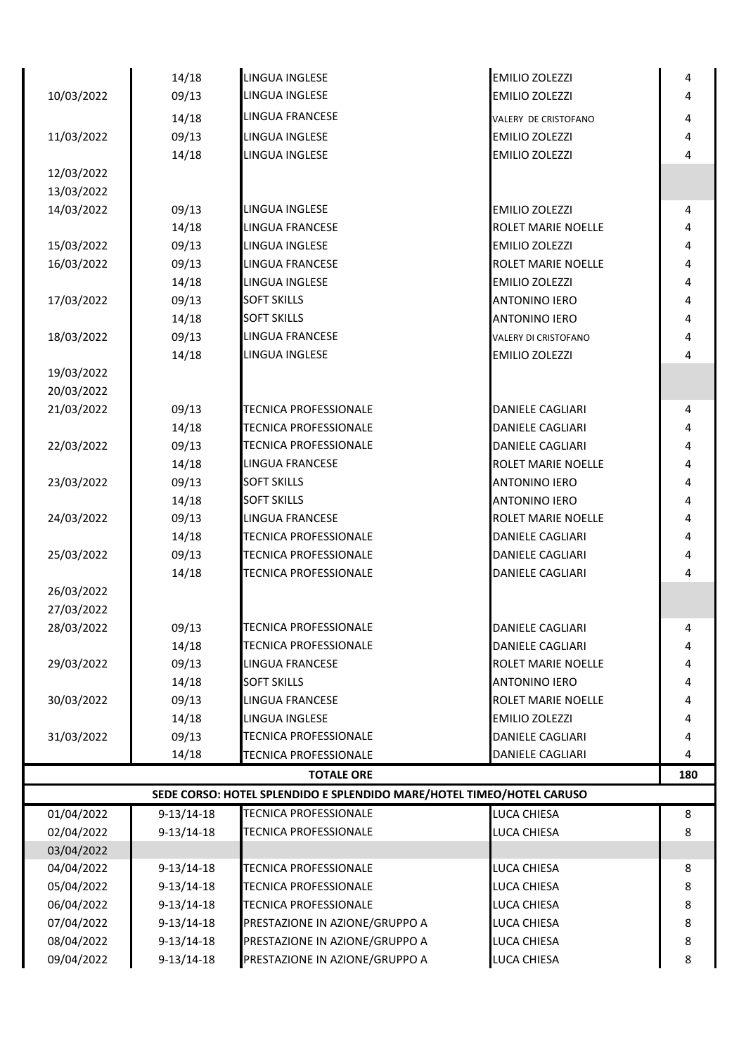|            | 14/18        | <b>LINGUA INGLESE</b>                                                 | <b>EMILIO ZOLEZZI</b>       | 4   |
|------------|--------------|-----------------------------------------------------------------------|-----------------------------|-----|
| 10/03/2022 | 09/13        | LINGUA INGLESE                                                        | <b>EMILIO ZOLEZZI</b>       | 4   |
|            | 14/18        | <b>LINGUA FRANCESE</b>                                                | VALERY DE CRISTOFANO        | 4   |
| 11/03/2022 | 09/13        | LINGUA INGLESE                                                        | <b>EMILIO ZOLEZZI</b>       | 4   |
|            | 14/18        | LINGUA INGLESE                                                        | <b>EMILIO ZOLEZZI</b>       | 4   |
| 12/03/2022 |              |                                                                       |                             |     |
| 13/03/2022 |              |                                                                       |                             |     |
| 14/03/2022 | 09/13        | LINGUA INGLESE                                                        | <b>EMILIO ZOLEZZI</b>       | 4   |
|            | 14/18        | <b>LINGUA FRANCESE</b>                                                | ROLET MARIE NOELLE          | 4   |
| 15/03/2022 | 09/13        | LINGUA INGLESE                                                        | <b>EMILIO ZOLEZZI</b>       | 4   |
| 16/03/2022 | 09/13        | <b>LINGUA FRANCESE</b>                                                | ROLET MARIE NOELLE          | 4   |
|            | 14/18        | LINGUA INGLESE                                                        | <b>EMILIO ZOLEZZI</b>       | 4   |
| 17/03/2022 | 09/13        | <b>SOFT SKILLS</b>                                                    | <b>ANTONINO IERO</b>        | 4   |
|            | 14/18        | <b>SOFT SKILLS</b>                                                    | <b>ANTONINO IERO</b>        | 4   |
| 18/03/2022 | 09/13        | <b>LINGUA FRANCESE</b>                                                | <b>VALERY DI CRISTOFANO</b> | 4   |
|            | 14/18        | LINGUA INGLESE                                                        | <b>EMILIO ZOLEZZI</b>       | 4   |
| 19/03/2022 |              |                                                                       |                             |     |
| 20/03/2022 |              |                                                                       |                             |     |
| 21/03/2022 | 09/13        | <b>TECNICA PROFESSIONALE</b>                                          | <b>DANIELE CAGLIARI</b>     | 4   |
|            | 14/18        | <b>TECNICA PROFESSIONALE</b>                                          | <b>DANIELE CAGLIARI</b>     | 4   |
| 22/03/2022 | 09/13        | <b>TECNICA PROFESSIONALE</b>                                          | <b>DANIELE CAGLIARI</b>     | 4   |
|            | 14/18        | <b>LINGUA FRANCESE</b>                                                | ROLET MARIE NOELLE          | 4   |
| 23/03/2022 | 09/13        | <b>SOFT SKILLS</b>                                                    | <b>ANTONINO IERO</b>        | 4   |
|            | 14/18        | <b>SOFT SKILLS</b>                                                    | <b>ANTONINO IERO</b>        | 4   |
| 24/03/2022 | 09/13        | <b>LINGUA FRANCESE</b>                                                | ROLET MARIE NOELLE          | 4   |
|            | 14/18        | <b>TECNICA PROFESSIONALE</b>                                          | <b>DANIELE CAGLIARI</b>     | 4   |
| 25/03/2022 | 09/13        | <b>TECNICA PROFESSIONALE</b>                                          | <b>DANIELE CAGLIARI</b>     | 4   |
|            | 14/18        | <b>TECNICA PROFESSIONALE</b>                                          | <b>DANIELE CAGLIARI</b>     | 4   |
| 26/03/2022 |              |                                                                       |                             |     |
| 27/03/2022 |              |                                                                       |                             |     |
| 28/03/2022 | 09/13        | <b>TECNICA PROFESSIONALE</b>                                          | <b>DANIELE CAGLIARI</b>     | 4   |
|            | 14/18        | <b>TECNICA PROFESSIONALE</b>                                          | DANIELE CAGLIARI            | 4   |
| 29/03/2022 | 09/13        | LINGUA FRANCESE                                                       | ROLET MARIE NOELLE          | 4   |
|            | 14/18        | <b>SOFT SKILLS</b>                                                    | <b>ANTONINO IERO</b>        | 4   |
| 30/03/2022 | 09/13        | LINGUA FRANCESE                                                       | ROLET MARIE NOELLE          | 4   |
|            | 14/18        | LINGUA INGLESE                                                        | <b>EMILIO ZOLEZZI</b>       | 4   |
| 31/03/2022 | 09/13        | TECNICA PROFESSIONALE                                                 | DANIELE CAGLIARI            | 4   |
|            | 14/18        | <b>TECNICA PROFESSIONALE</b>                                          | <b>DANIELE CAGLIARI</b>     | 4   |
|            |              | <b>TOTALE ORE</b>                                                     |                             | 180 |
|            |              | SEDE CORSO: HOTEL SPLENDIDO E SPLENDIDO MARE/HOTEL TIMEO/HOTEL CARUSO |                             |     |
| 01/04/2022 | $9-13/14-18$ | <b>TECNICA PROFESSIONALE</b>                                          | LUCA CHIESA                 | 8   |
| 02/04/2022 | $9-13/14-18$ | TECNICA PROFESSIONALE                                                 | LUCA CHIESA                 | 8   |
| 03/04/2022 |              |                                                                       |                             |     |
| 04/04/2022 | $9-13/14-18$ | <b>TECNICA PROFESSIONALE</b>                                          | LUCA CHIESA                 | 8   |
| 05/04/2022 | $9-13/14-18$ | <b>TECNICA PROFESSIONALE</b>                                          | LUCA CHIESA                 | 8   |
| 06/04/2022 | $9-13/14-18$ | TECNICA PROFESSIONALE                                                 | LUCA CHIESA                 | 8   |
| 07/04/2022 | $9-13/14-18$ | PRESTAZIONE IN AZIONE/GRUPPO A                                        | LUCA CHIESA                 | 8   |
| 08/04/2022 | $9-13/14-18$ | PRESTAZIONE IN AZIONE/GRUPPO A                                        | LUCA CHIESA                 | 8   |
| 09/04/2022 | $9-13/14-18$ | PRESTAZIONE IN AZIONE/GRUPPO A                                        | LUCA CHIESA                 | 8   |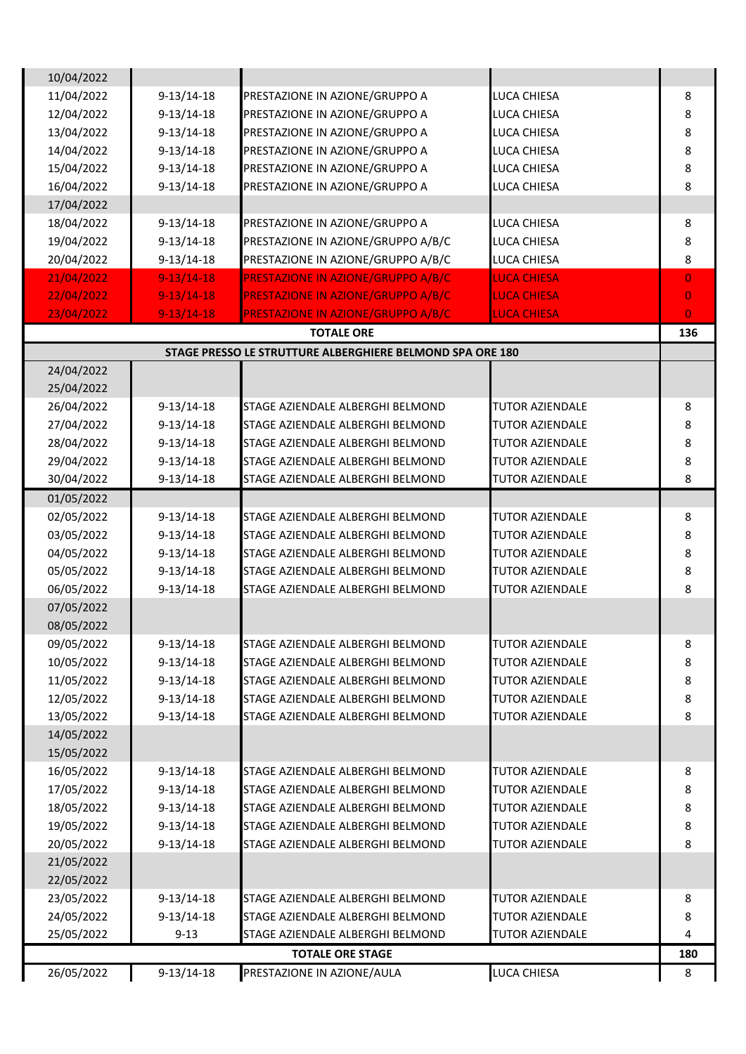| 10/04/2022               |              |                                                           |                        |                |
|--------------------------|--------------|-----------------------------------------------------------|------------------------|----------------|
| 11/04/2022               | $9-13/14-18$ | PRESTAZIONE IN AZIONE/GRUPPO A                            | LUCA CHIESA            | 8              |
| 12/04/2022               | $9-13/14-18$ | PRESTAZIONE IN AZIONE/GRUPPO A                            | LUCA CHIESA            | 8              |
| 13/04/2022               | $9-13/14-18$ | PRESTAZIONE IN AZIONE/GRUPPO A                            | LUCA CHIESA            | 8              |
| 14/04/2022               | $9-13/14-18$ | PRESTAZIONE IN AZIONE/GRUPPO A                            | LUCA CHIESA            | 8              |
| 15/04/2022               | $9-13/14-18$ | PRESTAZIONE IN AZIONE/GRUPPO A                            | LUCA CHIESA            | 8              |
| 16/04/2022               | $9-13/14-18$ | PRESTAZIONE IN AZIONE/GRUPPO A                            | LUCA CHIESA            | 8              |
| 17/04/2022               |              |                                                           |                        |                |
| 18/04/2022               | $9-13/14-18$ | PRESTAZIONE IN AZIONE/GRUPPO A                            | LUCA CHIESA            | 8              |
| 19/04/2022               | $9-13/14-18$ | PRESTAZIONE IN AZIONE/GRUPPO A/B/C                        | LUCA CHIESA            | 8              |
| 20/04/2022               | $9-13/14-18$ | PRESTAZIONE IN AZIONE/GRUPPO A/B/C                        | LUCA CHIESA            | 8              |
| 21/04/2022               | $9-13/14-18$ | PRESTAZIONE IN AZIONE/GRUPPO A/B/C                        | <b>LUCA CHIESA</b>     | $\overline{0}$ |
| 22/04/2022               | $9-13/14-18$ | PRESTAZIONE IN AZIONE/GRUPPO A/B/C                        | <b>LUCA CHIESA</b>     | $\overline{0}$ |
| 23/04/2022               | $9-13/14-18$ | PRESTAZIONE IN AZIONE/GRUPPO A/B/C                        | <b>LUCA CHIESA</b>     | $\mathbf{O}$   |
|                          |              | <b>TOTALE ORE</b>                                         |                        | 136            |
|                          |              | STAGE PRESSO LE STRUTTURE ALBERGHIERE BELMOND SPA ORE 180 |                        |                |
| 24/04/2022               |              |                                                           |                        |                |
| 25/04/2022               |              |                                                           |                        |                |
| 26/04/2022               | $9-13/14-18$ | STAGE AZIENDALE ALBERGHI BELMOND                          | <b>TUTOR AZIENDALE</b> | 8              |
| 27/04/2022               | $9-13/14-18$ | STAGE AZIENDALE ALBERGHI BELMOND                          | <b>TUTOR AZIENDALE</b> | 8              |
| 28/04/2022               | $9-13/14-18$ | STAGE AZIENDALE ALBERGHI BELMOND                          | TUTOR AZIENDALE        | 8              |
| 29/04/2022               | $9-13/14-18$ | STAGE AZIENDALE ALBERGHI BELMOND                          | <b>TUTOR AZIENDALE</b> | 8              |
| 30/04/2022               | $9-13/14-18$ | STAGE AZIENDALE ALBERGHI BELMOND                          | <b>TUTOR AZIENDALE</b> | 8              |
| 01/05/2022               |              |                                                           |                        |                |
| 02/05/2022               | $9-13/14-18$ | STAGE AZIENDALE ALBERGHI BELMOND                          | <b>TUTOR AZIENDALE</b> | 8              |
|                          | $9-13/14-18$ |                                                           | <b>TUTOR AZIENDALE</b> |                |
| 03/05/2022<br>04/05/2022 |              | STAGE AZIENDALE ALBERGHI BELMOND                          | <b>TUTOR AZIENDALE</b> | 8              |
|                          | $9-13/14-18$ | STAGE AZIENDALE ALBERGHI BELMOND                          |                        | 8              |
| 05/05/2022               | $9-13/14-18$ | STAGE AZIENDALE ALBERGHI BELMOND                          | <b>TUTOR AZIENDALE</b> | 8              |
| 06/05/2022               | $9-13/14-18$ | STAGE AZIENDALE ALBERGHI BELMOND                          | <b>TUTOR AZIENDALE</b> | 8              |
| 07/05/2022               |              |                                                           |                        |                |
| 08/05/2022               |              |                                                           |                        |                |
| 09/05/2022               | $9-13/14-18$ | STAGE AZIENDALE ALBERGHI BELMOND                          | <b>TUTOR AZIENDALE</b> | 8              |
| 10/05/2022               | $9-13/14-18$ | STAGE AZIENDALE ALBERGHI BELMOND                          | <b>TUTOR AZIENDALE</b> | 8              |
| 11/05/2022               | $9-13/14-18$ | STAGE AZIENDALE ALBERGHI BELMOND                          | <b>TUTOR AZIENDALE</b> | 8              |
| 12/05/2022               | $9-13/14-18$ | STAGE AZIENDALE ALBERGHI BELMOND                          | <b>TUTOR AZIENDALE</b> | 8              |
| 13/05/2022               | $9-13/14-18$ | STAGE AZIENDALE ALBERGHI BELMOND                          | <b>TUTOR AZIENDALE</b> | 8              |
| 14/05/2022               |              |                                                           |                        |                |
| 15/05/2022               |              |                                                           |                        |                |
| 16/05/2022               | $9-13/14-18$ | STAGE AZIENDALE ALBERGHI BELMOND                          | <b>TUTOR AZIENDALE</b> | 8              |
| 17/05/2022               | $9-13/14-18$ | STAGE AZIENDALE ALBERGHI BELMOND                          | <b>TUTOR AZIENDALE</b> | 8              |
| 18/05/2022               | $9-13/14-18$ | STAGE AZIENDALE ALBERGHI BELMOND                          | <b>TUTOR AZIENDALE</b> | 8              |
| 19/05/2022               | $9-13/14-18$ | STAGE AZIENDALE ALBERGHI BELMOND                          | <b>TUTOR AZIENDALE</b> | 8              |
| 20/05/2022               | $9-13/14-18$ | STAGE AZIENDALE ALBERGHI BELMOND                          | TUTOR AZIENDALE        | 8              |
| 21/05/2022               |              |                                                           |                        |                |
| 22/05/2022               |              |                                                           |                        |                |
| 23/05/2022               | $9-13/14-18$ | STAGE AZIENDALE ALBERGHI BELMOND                          | <b>TUTOR AZIENDALE</b> | 8              |
| 24/05/2022               | $9-13/14-18$ | STAGE AZIENDALE ALBERGHI BELMOND                          | <b>TUTOR AZIENDALE</b> | 8              |
| 25/05/2022               | $9 - 13$     | STAGE AZIENDALE ALBERGHI BELMOND                          | <b>TUTOR AZIENDALE</b> | 4              |
|                          |              | <b>TOTALE ORE STAGE</b>                                   |                        | 180            |
| 26/05/2022               | $9-13/14-18$ | PRESTAZIONE IN AZIONE/AULA                                | LUCA CHIESA            | 8              |